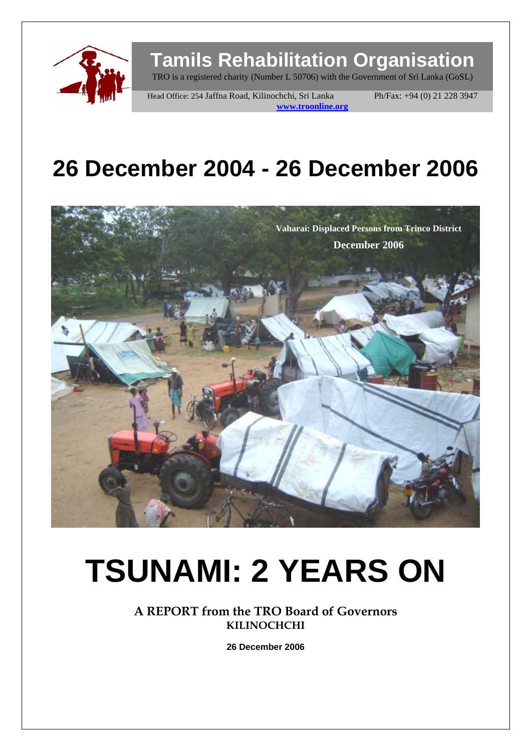

# **Tamils Rehabilitation Organisation**

TRO is a registered charity (Number L 50706) with the Government of Sri Lanka (GoSL)

Head Office: 254 Jaffna Road, Kilinochchi, Sri Lanka Ph/Fax: +94 (0) 21 228 3947 **www.troonline.org** 

# **26 December 2004 - 26 December 2006**



# **TSUNAMI: 2 YEARS ON**

**A REPORT from the TRO Board of Governors KILINOCHCHI** 

**26 December 2006**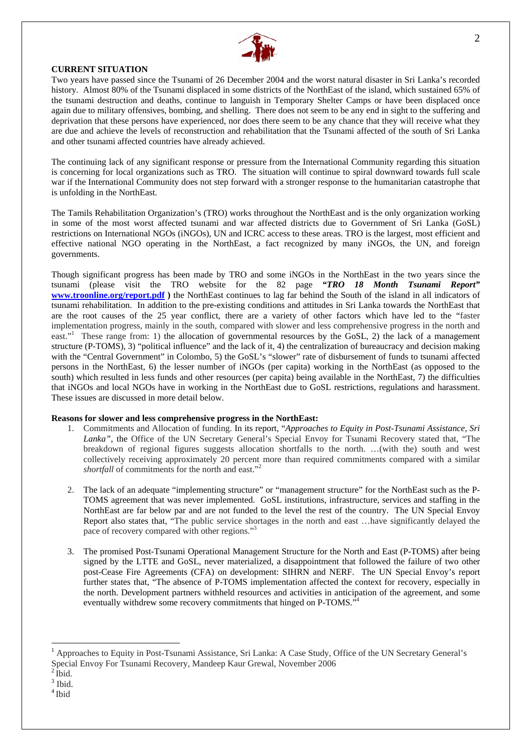

#### **CURRENT SITUATION**

Two years have passed since the Tsunami of 26 December 2004 and the worst natural disaster in Sri Lanka's recorded history. Almost 80% of the Tsunami displaced in some districts of the NorthEast of the island, which sustained 65% of the tsunami destruction and deaths, continue to languish in Temporary Shelter Camps or have been displaced once again due to military offensives, bombing, and shelling. There does not seem to be any end in sight to the suffering and deprivation that these persons have experienced, nor does there seem to be any chance that they will receive what they are due and achieve the levels of reconstruction and rehabilitation that the Tsunami affected of the south of Sri Lanka and other tsunami affected countries have already achieved.

The continuing lack of any significant response or pressure from the International Community regarding this situation is concerning for local organizations such as TRO. The situation will continue to spiral downward towards full scale war if the International Community does not step forward with a stronger response to the humanitarian catastrophe that is unfolding in the NorthEast.

The Tamils Rehabilitation Organization's (TRO) works throughout the NorthEast and is the only organization working in some of the most worst affected tsunami and war affected districts due to Government of Sri Lanka (GoSL) restrictions on International NGOs (iNGOs), UN and ICRC access to these areas. TRO is the largest, most efficient and effective national NGO operating in the NorthEast, a fact recognized by many iNGOs, the UN, and foreign governments.

Though significant progress has been made by TRO and some iNGOs in the NorthEast in the two years since the tsunami (please visit the TRO website for the 82 page *"TRO 18 Month Tsunami Report"*  **[www.troonline.org/report.pdf](http://www.troonline.org/report.pdf) )** the NorthEast continues to lag far behind the South of the island in all indicators of tsunami rehabilitation. In addition to the pre-existing conditions and attitudes in Sri Lanka towards the NorthEast that are the root causes of the 25 year conflict, there are a variety of other factors which have led to the "faster implementation progress, mainly in the south, compared with slower and less comprehensive progress in the north and east."<sup>1</sup> These range from: 1) the allocation of governmental resources by the GoSL, 2) the lack of a management structure (P-TOMS), 3) "political influence" and the lack of it, 4) the centralization of bureaucracy and decision making with the "Central Government" in Colombo, 5) the GoSL's "slower" rate of disbursement of funds to tsunami affected persons in the NorthEast, 6) the lesser number of iNGOs (per capita) working in the NorthEast (as opposed to the south) which resulted in less funds and other resources (per capita) being available in the NorthEast, 7) the difficulties that iNGOs and local NGOs have in working in the NorthEast due to GoSL restrictions, regulations and harassment. These issues are discussed in more detail below.

#### **Reasons for slower and less comprehensive progress in the NorthEast:**

- 1. Commitments and Allocation of funding. In its report, "*Approaches to Equity in Post-Tsunami Assistance, Sri Lanka"*, the Office of the UN Secretary General's Special Envoy for Tsunami Recovery stated that, "The breakdown of regional figures suggests allocation shortfalls to the north. …(with the) south and west collectively receiving approximately 20 percent more than required commitments compared with a similar *shortfall* of commitments for the north and east."[2](#page-1-1)
- 2. The lack of an adequate "implementing structure" or "management structure" for the NorthEast such as the P-TOMS agreement that was never implemented. GoSL institutions, infrastructure, services and staffing in the NorthEast are far below par and are not funded to the level the rest of the country. The UN Special Envoy Report also states that, "The public service shortages in the north and east …have significantly delayed the pace of recovery compared with other regions.["3](#page-1-2)
- 3. The promised Post-Tsunami Operational Management Structure for the North and East (P-TOMS) after being signed by the LTTE and GoSL, never materialized, a disappointment that followed the failure of two other post-Cease Fire Agreements (CFA) on development: SIHRN and NERF. The UN Special Envoy's report further states that, "The absence of P-TOMS implementation affected the context for recovery, especially in the north. Development partners withheld resources and activities in anticipation of the agreement, and some eventually withdrew some recovery commitments that hinged on P-TOMS."[4](#page-1-3)

<span id="page-1-0"></span><sup>&</sup>lt;sup>1</sup> Approaches to Equity in Post-Tsunami Assistance, Sri Lanka: A Case Study, Office of the UN Secretary General's Special Envoy For Tsunami Recovery, Mandeep Kaur Grewal, November 2006 $^2\!$  Ibid.

<span id="page-1-1"></span>

<span id="page-1-2"></span><sup>3</sup> Ibid.

<span id="page-1-3"></span><sup>4</sup> Ibid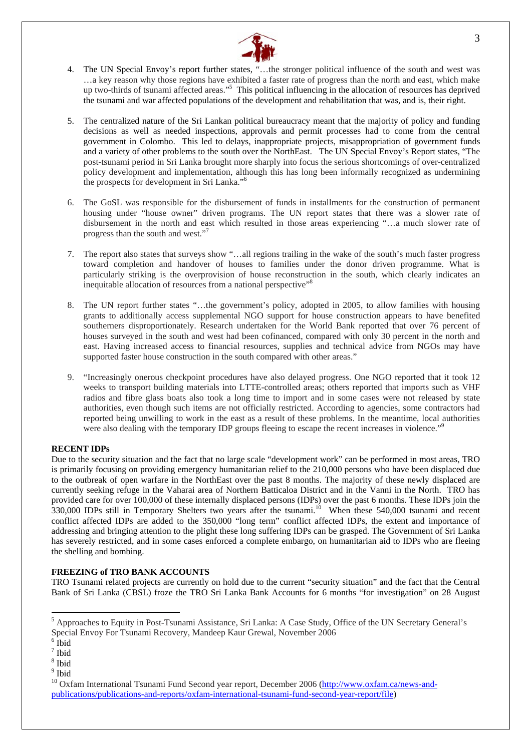

- 4. The UN Special Envoy's report further states, "…the stronger political influence of the south and west was …a key reason why those regions have exhibited a faster rate of progress than the north and east, which make up two-thirds of tsunami affected areas."<sup>5</sup> This political influencing in the allocation of resources has deprived the tsunami and war affected populations of the development and rehabilitation that was, and is, their right.
- 5. The centralized nature of the Sri Lankan political bureaucracy meant that the majority of policy and funding decisions as well as needed inspections, approvals and permit processes had to come from the central government in Colombo. This led to delays, inappropriate projects, misappropriation of government funds and a variety of other problems to the south over the NorthEast. The UN Special Envoy's Report states, "The post-tsunami period in Sri Lanka brought more sharply into focus the serious shortcomings of over-centralized policy development and implementation, although this has long been informally recognized as undermining the prospects for development in Sri Lanka."<sup>[6](#page-2-1)</sup>
- 6. The GoSL was responsible for the disbursement of funds in installments for the construction of permanent housing under "house owner" driven programs. The UN report states that there was a slower rate of disbursement in the north and east which resulted in those areas experiencing "…a much slower rate of progress than the south and west."[7](#page-2-2)
- 7. The report also states that surveys show "…all regions trailing in the wake of the south's much faster progress toward completion and handover of houses to families under the donor driven programme. What is particularly striking is the overprovision of house reconstruction in the south, which clearly indicates an inequitable allocation of resources from a national perspective["8](#page-2-3)
- 8. The UN report further states "…the government's policy, adopted in 2005, to allow families with housing grants to additionally access supplemental NGO support for house construction appears to have benefited southerners disproportionately. Research undertaken for the World Bank reported that over 76 percent of houses surveyed in the south and west had been cofinanced, compared with only 30 percent in the north and east. Having increased access to financial resources, supplies and technical advice from NGOs may have supported faster house construction in the south compared with other areas."
- 9. "Increasingly onerous checkpoint procedures have also delayed progress. One NGO reported that it took 12 weeks to transport building materials into LTTE-controlled areas; others reported that imports such as VHF radios and fibre glass boats also took a long time to import and in some cases were not released by state authorities, even though such items are not officially restricted. According to agencies, some contractors had reported being unwilling to work in the east as a result of these problems. In the meantime, local authorities were also dealing with the temporary IDP groups fleeing to escape the recent increases in violence."<sup>5</sup>

#### **RECENT IDPs**

Due to the security situation and the fact that no large scale "development work" can be performed in most areas, TRO is primarily focusing on providing emergency humanitarian relief to the 210,000 persons who have been displaced due to the outbreak of open warfare in the NorthEast over the past 8 months. The majority of these newly displaced are currently seeking refuge in the Vaharai area of Northern Batticaloa District and in the Vanni in the North. TRO has provided care for over 100,000 of these internally displaced persons (IDPs) over the past 6 months. These IDPs join the 330,000 IDPs still in Temporary Shelters two years after the tsunami.<sup>10</sup> When these 540,000 tsunami and recent conflict affected IDPs are added to the 350,000 "long term" conflict affected IDPs, the extent and importance of addressing and bringing attention to the plight these long suffering IDPs can be grasped. The Government of Sri Lanka has severely restricted, and in some cases enforced a complete embargo, on humanitarian aid to IDPs who are fleeing the shelling and bombing.

#### **FREEZING of TRO BANK ACCOUNTS**

TRO Tsunami related projects are currently on hold due to the current "security situation" and the fact that the Central Bank of Sri Lanka (CBSL) froze the TRO Sri Lanka Bank Accounts for 6 months "for investigation" on 28 August

<span id="page-2-0"></span><sup>5</sup> Approaches to Equity in Post-Tsunami Assistance, Sri Lanka: A Case Study, Office of the UN Secretary General's Special Envoy For Tsunami Recovery, Mandeep Kaur Grewal, November 2006 <sup>6</sup>

<span id="page-2-1"></span> $6$  Ibid

<span id="page-2-2"></span><sup>7</sup> Ibid

<span id="page-2-3"></span><sup>8</sup> Ibid

<span id="page-2-4"></span><sup>&</sup>lt;sup>9</sup> Ibid

<span id="page-2-5"></span><sup>&</sup>lt;sup>10</sup> Oxfam International Tsunami Fund Second year report, December 2006 ([http://www.oxfam.ca/news-and](http://www.oxfam.ca/news-and-publications/publications-and-reports/oxfam-international-tsunami-fund-second-year-report/file)[publications/publications-and-reports/oxfam-international-tsunami-fund-second-year-report/file\)](http://www.oxfam.ca/news-and-publications/publications-and-reports/oxfam-international-tsunami-fund-second-year-report/file)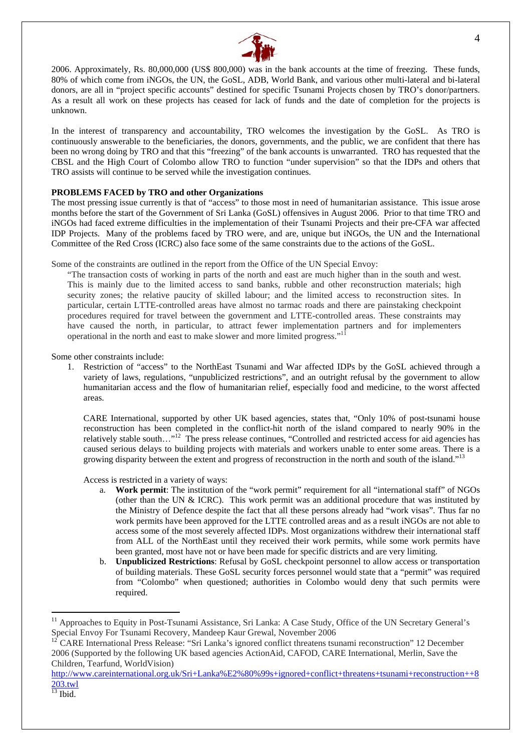

2006. Approximately, Rs. 80,000,000 (US\$ 800,000) was in the bank accounts at the time of freezing. These funds, 80% of which come from iNGOs, the UN, the GoSL, ADB, World Bank, and various other multi-lateral and bi-lateral donors, are all in "project specific accounts" destined for specific Tsunami Projects chosen by TRO's donor/partners. As a result all work on these projects has ceased for lack of funds and the date of completion for the projects is unknown.

In the interest of transparency and accountability, TRO welcomes the investigation by the GoSL. As TRO is continuously answerable to the beneficiaries, the donors, governments, and the public, we are confident that there has been no wrong doing by TRO and that this "freezing" of the bank accounts is unwarranted. TRO has requested that the CBSL and the High Court of Colombo allow TRO to function "under supervision" so that the IDPs and others that TRO assists will continue to be served while the investigation continues.

#### **PROBLEMS FACED by TRO and other Organizations**

The most pressing issue currently is that of "access" to those most in need of humanitarian assistance. This issue arose months before the start of the Government of Sri Lanka (GoSL) offensives in August 2006. Prior to that time TRO and iNGOs had faced extreme difficulties in the implementation of their Tsunami Projects and their pre-CFA war affected IDP Projects. Many of the problems faced by TRO were, and are, unique but iNGOs, the UN and the International Committee of the Red Cross (ICRC) also face some of the same constraints due to the actions of the GoSL.

Some of the constraints are outlined in the report from the Office of the UN Special Envoy:

"The transaction costs of working in parts of the north and east are much higher than in the south and west. This is mainly due to the limited access to sand banks, rubble and other reconstruction materials; high security zones; the relative paucity of skilled labour; and the limited access to reconstruction sites. In particular, certain LTTE-controlled areas have almost no tarmac roads and there are painstaking checkpoint procedures required for travel between the government and LTTE-controlled areas. These constraints may have caused the north, in particular, to attract fewer implementation partners and for implementers operational in the north and east to make slower and more limited progress."<sup>[11](#page-3-0)</sup>

Some other constraints include:

1. Restriction of "access" to the NorthEast Tsunami and War affected IDPs by the GoSL achieved through a variety of laws, regulations, "unpublicized restrictions", and an outright refusal by the government to allow humanitarian access and the flow of humanitarian relief, especially food and medicine, to the worst affected areas.

CARE International, supported by other UK based agencies, states that, "Only 10% of post-tsunami house reconstruction has been completed in the conflict-hit north of the island compared to nearly 90% in the relatively stable south…"[12](#page-3-1) The press release continues, "Controlled and restricted access for aid agencies has caused serious delays to building projects with materials and workers unable to enter some areas. There is a growing disparity between the extent and progress of reconstruction in the north and south of the island."<sup>13</sup>

Access is restricted in a variety of ways:

- a. **Work permit**: The institution of the "work permit" requirement for all "international staff" of NGOs (other than the UN & ICRC). This work permit was an additional procedure that was instituted by the Ministry of Defence despite the fact that all these persons already had "work visas". Thus far no work permits have been approved for the LTTE controlled areas and as a result iNGOs are not able to access some of the most severely affected IDPs. Most organizations withdrew their international staff from ALL of the NorthEast until they received their work permits, while some work permits have been granted, most have not or have been made for specific districts and are very limiting.
- b. **Unpublicized Restrictions**: Refusal by GoSL checkpoint personnel to allow access or transportation of building materials. These GoSL security forces personnel would state that a "permit" was required from "Colombo" when questioned; authorities in Colombo would deny that such permits were required.

<span id="page-3-0"></span><sup>&</sup>lt;sup>11</sup> Approaches to Equity in Post-Tsunami Assistance, Sri Lanka: A Case Study, Office of the UN Secretary General's Special Envoy For Tsunami Recovery, Mandeep Kaur Grewal, November 2006<br><sup>12</sup> CARE International Press Release: "Sri Lanka's ignored conflict threatens tsunami reconstruction" 12 December

<span id="page-3-1"></span><sup>2006 (</sup>Supported by the following UK based agencies ActionAid, CAFOD, CARE International, Merlin, Save the Children, Tearfund, WorldVision)

[http://www.careinternational.org.uk/Sri+Lanka%E2%80%99s+ignored+conflict+threatens+tsunami+reconstruction++8](http://www.careinternational.org.uk/Sri+Lanka%E2%80%99s+ignored+conflict+threatens+tsunami+reconstruction++8203.twl) [203.twl](http://www.careinternational.org.uk/Sri+Lanka%E2%80%99s+ignored+conflict+threatens+tsunami+reconstruction++8203.twl)

<span id="page-3-2"></span> $\overline{^{13}}$  Ibid.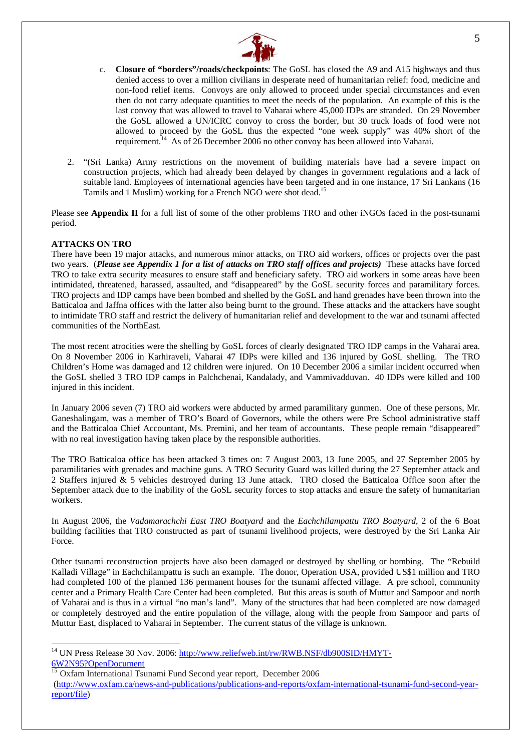

- c. **Closure of "borders"/roads/checkpoints**: The GoSL has closed the A9 and A15 highways and thus denied access to over a million civilians in desperate need of humanitarian relief: food, medicine and non-food relief items. Convoys are only allowed to proceed under special circumstances and even then do not carry adequate quantities to meet the needs of the population. An example of this is the last convoy that was allowed to travel to Vaharai where 45,000 IDPs are stranded. On 29 November the GoSL allowed a UN/ICRC convoy to cross the border, but 30 truck loads of food were not allowed to proceed by the GoSL thus the expected "one week supply" was 40% short of the requirement.[14](#page-4-0) As of 26 December 2006 no other convoy has been allowed into Vaharai.
- 2. "(Sri Lanka) Army restrictions on the movement of building materials have had a severe impact on construction projects, which had already been delayed by changes in government regulations and a lack of suitable land. Employees of international agencies have been targeted and in one instance, 17 Sri Lankans (16 Tamils and 1 Muslim) working for a French NGO were shot dead[.15](#page-4-1)

Please see **Appendix II** for a full list of some of the other problems TRO and other iNGOs faced in the post-tsunami period.

#### **ATTACKS ON TRO**

 $\overline{a}$ 

There have been 19 major attacks, and numerous minor attacks, on TRO aid workers, offices or projects over the past two years. (*Please see Appendix 1 for a list of attacks on TRO staff offices and projects)* These attacks have forced TRO to take extra security measures to ensure staff and beneficiary safety. TRO aid workers in some areas have been intimidated, threatened, harassed, assaulted, and "disappeared" by the GoSL security forces and paramilitary forces. TRO projects and IDP camps have been bombed and shelled by the GoSL and hand grenades have been thrown into the Batticaloa and Jaffna offices with the latter also being burnt to the ground. These attacks and the attackers have sought to intimidate TRO staff and restrict the delivery of humanitarian relief and development to the war and tsunami affected communities of the NorthEast.

The most recent atrocities were the shelling by GoSL forces of clearly designated TRO IDP camps in the Vaharai area. On 8 November 2006 in Karhiraveli, Vaharai 47 IDPs were killed and 136 injured by GoSL shelling. The TRO Children's Home was damaged and 12 children were injured. On 10 December 2006 a similar incident occurred when the GoSL shelled 3 TRO IDP camps in Palchchenai, Kandalady, and Vammivadduvan. 40 IDPs were killed and 100 injured in this incident.

In January 2006 seven (7) TRO aid workers were abducted by armed paramilitary gunmen. One of these persons, Mr. Ganeshalingam, was a member of TRO's Board of Governors, while the others were Pre School administrative staff and the Batticaloa Chief Accountant, Ms. Premini, and her team of accountants. These people remain "disappeared" with no real investigation having taken place by the responsible authorities.

The TRO Batticaloa office has been attacked 3 times on: 7 August 2003, 13 June 2005, and 27 September 2005 by paramilitaries with grenades and machine guns. A TRO Security Guard was killed during the 27 September attack and 2 Staffers injured & 5 vehicles destroyed during 13 June attack. TRO closed the Batticaloa Office soon after the September attack due to the inability of the GoSL security forces to stop attacks and ensure the safety of humanitarian workers.

In August 2006, the *Vadamarachchi East TRO Boatyard* and the *Eachchilampattu TRO Boatyard*, 2 of the 6 Boat building facilities that TRO constructed as part of tsunami livelihood projects, were destroyed by the Sri Lanka Air Force.

Other tsunami reconstruction projects have also been damaged or destroyed by shelling or bombing. The "Rebuild Kalladi Village" in Eachchilampattu is such an example. The donor, Operation USA, provided US\$1 million and TRO had completed 100 of the planned 136 permanent houses for the tsunami affected village. A pre school, community center and a Primary Health Care Center had been completed. But this areas is south of Muttur and Sampoor and north of Vaharai and is thus in a virtual "no man's land". Many of the structures that had been completed are now damaged or completely destroyed and the entire population of the village, along with the people from Sampoor and parts of Muttur East, displaced to Vaharai in September. The current status of the village is unknown.

<span id="page-4-1"></span>[6W2N95?OpenDocument](http://www.reliefweb.int/rw/RWB.NSF/db900SID/HMYT-6W2N95?OpenDocument)<br><sup>[15](http://www.reliefweb.int/rw/RWB.NSF/db900SID/HMYT-6W2N95?OpenDocument)</sup> Oxfam International Tsunami Fund Second year report, December 2006

<span id="page-4-0"></span><sup>&</sup>lt;sup>14</sup> UN Press Release 30 Nov. 2006: [http://www.reliefweb.int/rw/RWB.NSF/db900SID/HMYT-](http://www.reliefweb.int/rw/RWB.NSF/db900SID/HMYT-6W2N95?OpenDocument)

[\(http://www.oxfam.ca/news-and-publications/publications-and-reports/oxfam-international-tsunami-fund-second-year](http://www.oxfam.ca/news-and-publications/publications-and-reports/oxfam-international-tsunami-fund-second-year-report/file)[report/file\)](http://www.oxfam.ca/news-and-publications/publications-and-reports/oxfam-international-tsunami-fund-second-year-report/file)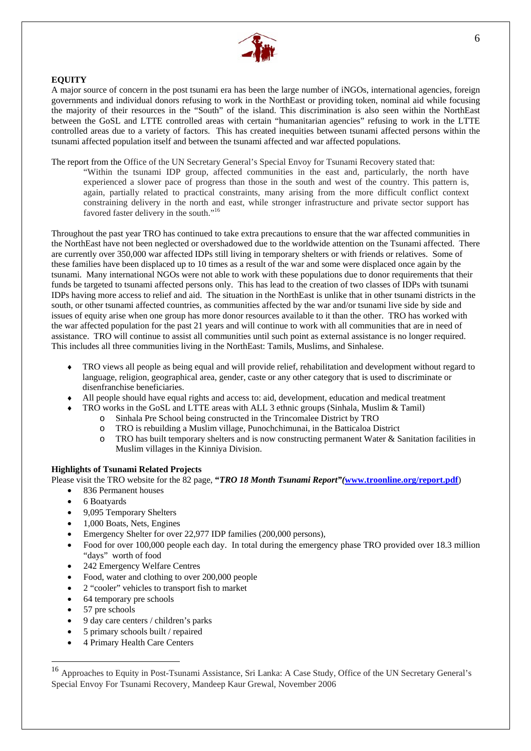

#### **EQUITY**

A major source of concern in the post tsunami era has been the large number of iNGOs, international agencies, foreign governments and individual donors refusing to work in the NorthEast or providing token, nominal aid while focusing the majority of their resources in the "South" of the island. This discrimination is also seen within the NorthEast between the GoSL and LTTE controlled areas with certain "humanitarian agencies" refusing to work in the LTTE controlled areas due to a variety of factors. This has created inequities between tsunami affected persons within the tsunami affected population itself and between the tsunami affected and war affected populations.

The report from the Office of the UN Secretary General's Special Envoy for Tsunami Recovery stated that:

"Within the tsunami IDP group, affected communities in the east and, particularly, the north have experienced a slower pace of progress than those in the south and west of the country. This pattern is, again, partially related to practical constraints, many arising from the more difficult conflict context constraining delivery in the north and east, while stronger infrastructure and private sector support has favored faster delivery in the south."[16](#page-5-0)

Throughout the past year TRO has continued to take extra precautions to ensure that the war affected communities in the NorthEast have not been neglected or overshadowed due to the worldwide attention on the Tsunami affected. There are currently over 350,000 war affected IDPs still living in temporary shelters or with friends or relatives. Some of these families have been displaced up to 10 times as a result of the war and some were displaced once again by the tsunami. Many international NGOs were not able to work with these populations due to donor requirements that their funds be targeted to tsunami affected persons only. This has lead to the creation of two classes of IDPs with tsunami IDPs having more access to relief and aid. The situation in the NorthEast is unlike that in other tsunami districts in the south, or other tsunami affected countries, as communities affected by the war and/or tsunami live side by side and issues of equity arise when one group has more donor resources available to it than the other. TRO has worked with the war affected population for the past 21 years and will continue to work with all communities that are in need of assistance. TRO will continue to assist all communities until such point as external assistance is no longer required. This includes all three communities living in the NorthEast: Tamils, Muslims, and Sinhalese.

- ♦ TRO views all people as being equal and will provide relief, rehabilitation and development without regard to language, religion, geographical area, gender, caste or any other category that is used to discriminate or disenfranchise beneficiaries.
- All people should have equal rights and access to: aid, development, education and medical treatment
- TRO works in the GoSL and LTTE areas with ALL 3 ethnic groups (Sinhala, Muslim & Tamil)
	- o Sinhala Pre School being constructed in the Trincomalee District by TRO
	- o TRO is rebuilding a Muslim village, Punochchimunai, in the Batticaloa District
	- o TRO has built temporary shelters and is now constructing permanent Water & Sanitation facilities in Muslim villages in the Kinniya Division.

#### **Highlights of Tsunami Related Projects**

Please visit the TRO website for the 82 page, **"***TRO 18 Month Tsunami Report"(***[www.troonline.org/report.pdf](http://www.troonline.org/report.pdf)**)

- 836 Permanent houses
- 6 Boatyards
- 9,095 Temporary Shelters
- 1,000 Boats, Nets, Engines
- Emergency Shelter for over 22,977 IDP families (200,000 persons),
- Food for over 100,000 people each day. In total during the emergency phase TRO provided over 18.3 million "days" worth of food
- 242 Emergency Welfare Centres
- Food, water and clothing to over 200,000 people
- 2 "cooler" vehicles to transport fish to market
- 64 temporary pre schools
- 57 pre schools

- 9 day care centers / children's parks
- 5 primary schools built / repaired
- 4 Primary Health Care Centers

<span id="page-5-0"></span><sup>16</sup> Approaches to Equity in Post-Tsunami Assistance, Sri Lanka: A Case Study, Office of the UN Secretary General's Special Envoy For Tsunami Recovery, Mandeep Kaur Grewal, November 2006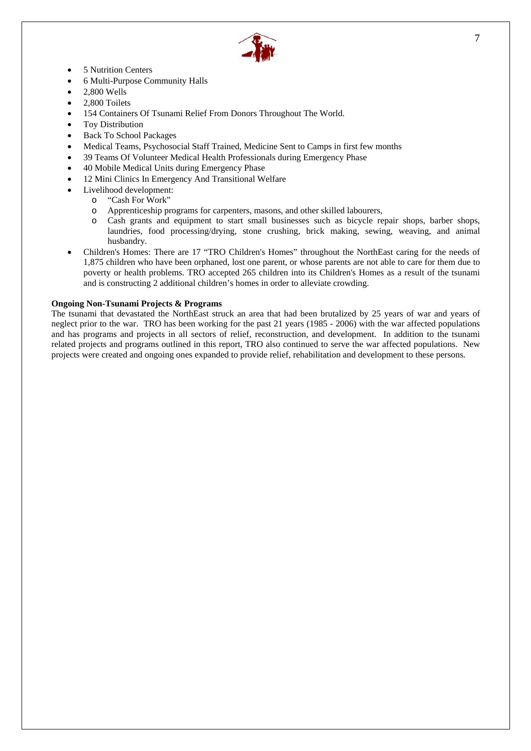

- 5 Nutrition Centers
- 6 Multi-Purpose Community Halls
- 2,800 Wells
- 2,800 Toilets
- 154 Containers Of Tsunami Relief From Donors Throughout The World.
- Toy Distribution
- Back To School Packages
- Medical Teams, Psychosocial Staff Trained, Medicine Sent to Camps in first few months
- 39 Teams Of Volunteer Medical Health Professionals during Emergency Phase
- 40 Mobile Medical Units during Emergency Phase
- 12 Mini Clinics In Emergency And Transitional Welfare
- Livelihood development:
	- o "Cash For Work"
	- o Apprenticeship programs for carpenters, masons, and other skilled labourers,
	- o Cash grants and equipment to start small businesses such as bicycle repair shops, barber shops, laundries, food processing/drying, stone crushing, brick making, sewing, weaving, and animal husbandry.
- Children's Homes: There are 17 "TRO Children's Homes" throughout the NorthEast caring for the needs of 1,875 children who have been orphaned, lost one parent, or whose parents are not able to care for them due to poverty or health problems. TRO accepted 265 children into its Children's Homes as a result of the tsunami and is constructing 2 additional children's homes in order to alleviate crowding.

#### **Ongoing Non-Tsunami Projects & Programs**

The tsunami that devastated the NorthEast struck an area that had been brutalized by 25 years of war and years of neglect prior to the war. TRO has been working for the past 21 years (1985 - 2006) with the war affected populations and has programs and projects in all sectors of relief, reconstruction, and development. In addition to the tsunami related projects and programs outlined in this report, TRO also continued to serve the war affected populations. New projects were created and ongoing ones expanded to provide relief, rehabilitation and development to these persons.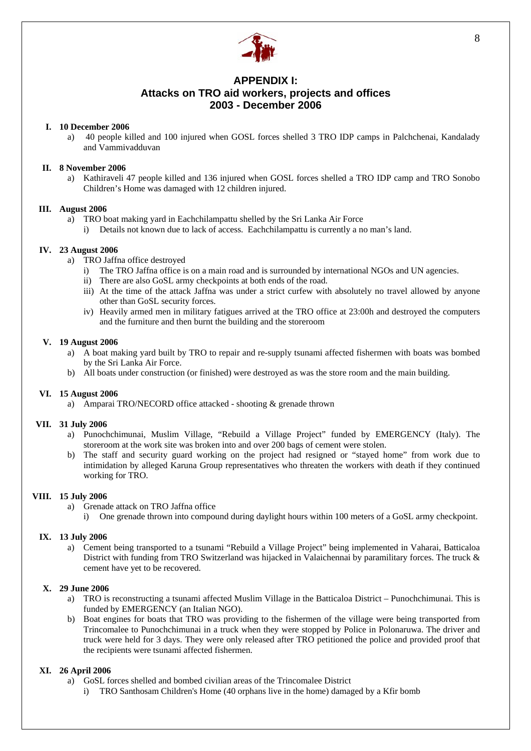

### **APPENDIX I: Attacks on TRO aid workers, projects and offices 2003 - December 2006**

#### **I. 10 December 2006**

a) 40 people killed and 100 injured when GOSL forces shelled 3 TRO IDP camps in Palchchenai, Kandalady and Vammivadduvan

#### **II. 8 November 2006**

a) Kathiraveli 47 people killed and 136 injured when GOSL forces shelled a TRO IDP camp and TRO Sonobo Children's Home was damaged with 12 children injured.

#### **III. August 2006**

- a) TRO boat making yard in Eachchilampattu shelled by the Sri Lanka Air Force
	- i) Details not known due to lack of access. Eachchilampattu is currently a no man's land.

#### **IV. 23 August 2006**

- a) TRO Jaffna office destroyed
	- i) The TRO Jaffna office is on a main road and is surrounded by international NGOs and UN agencies.
	- ii) There are also GoSL army checkpoints at both ends of the road.
	- iii) At the time of the attack Jaffna was under a strict curfew with absolutely no travel allowed by anyone other than GoSL security forces.
	- iv) Heavily armed men in military fatigues arrived at the TRO office at 23:00h and destroyed the computers and the furniture and then burnt the building and the storeroom

#### **V. 19 August 2006**

- a) A boat making yard built by TRO to repair and re-supply tsunami affected fishermen with boats was bombed by the Sri Lanka Air Force.
- b) All boats under construction (or finished) were destroyed as was the store room and the main building.

#### **VI. 15 August 2006**

a) Amparai TRO/NECORD office attacked - shooting & grenade thrown

#### **VII. 31 July 2006**

- a) Punochchimunai, Muslim Village, "Rebuild a Village Project" funded by EMERGENCY (Italy). The storeroom at the work site was broken into and over 200 bags of cement were stolen.
- b) The staff and security guard working on the project had resigned or "stayed home" from work due to intimidation by alleged Karuna Group representatives who threaten the workers with death if they continued working for TRO.

#### **VIII. 15 July 2006**

- a) Grenade attack on TRO Jaffna office
	- i) One grenade thrown into compound during daylight hours within 100 meters of a GoSL army checkpoint.

#### **IX. 13 July 2006**

a) Cement being transported to a tsunami "Rebuild a Village Project" being implemented in Vaharai, Batticaloa District with funding from TRO Switzerland was hijacked in Valaichennai by paramilitary forces. The truck & cement have yet to be recovered.

#### **X. 29 June 2006**

- a) TRO is reconstructing a tsunami affected Muslim Village in the Batticaloa District Punochchimunai. This is funded by EMERGENCY (an Italian NGO).
- b) Boat engines for boats that TRO was providing to the fishermen of the village were being transported from Trincomalee to Punochchimunai in a truck when they were stopped by Police in Polonaruwa. The driver and truck were held for 3 days. They were only released after TRO petitioned the police and provided proof that the recipients were tsunami affected fishermen.

#### **XI. 26 April 2006**

- a) GoSL forces shelled and bombed civilian areas of the Trincomalee District
	- i) TRO Santhosam Children's Home (40 orphans live in the home) damaged by a Kfir bomb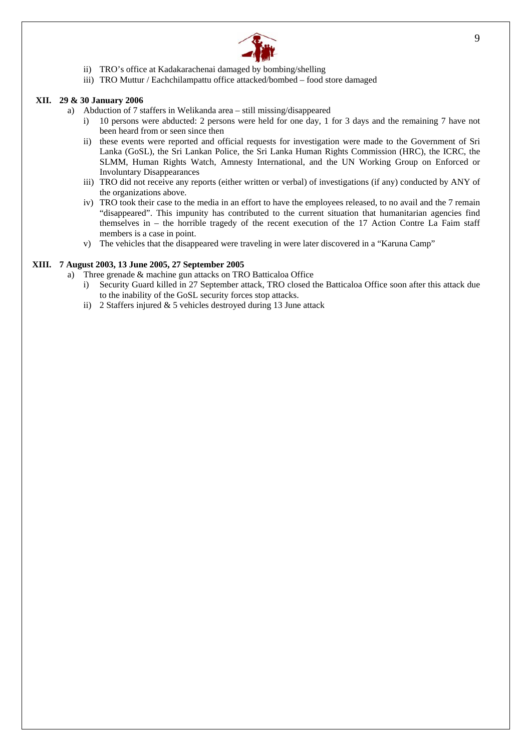

- ii) TRO's office at Kadakarachenai damaged by bombing/shelling
- iii) TRO Muttur / Eachchilampattu office attacked/bombed food store damaged

#### **XII. 29 & 30 January 2006**

- a) Abduction of 7 staffers in Welikanda area still missing/disappeared
	- i) 10 persons were abducted: 2 persons were held for one day, 1 for 3 days and the remaining 7 have not been heard from or seen since then
	- ii) these events were reported and official requests for investigation were made to the Government of Sri Lanka (GoSL), the Sri Lankan Police, the Sri Lanka Human Rights Commission (HRC), the ICRC, the SLMM, Human Rights Watch, Amnesty International, and the UN Working Group on Enforced or Involuntary Disappearances
	- iii) TRO did not receive any reports (either written or verbal) of investigations (if any) conducted by ANY of the organizations above.
	- iv) TRO took their case to the media in an effort to have the employees released, to no avail and the 7 remain "disappeared". This impunity has contributed to the current situation that humanitarian agencies find themselves in – the horrible tragedy of the recent execution of the 17 Action Contre La Faim staff members is a case in point.
	- v) The vehicles that the disappeared were traveling in were later discovered in a "Karuna Camp"

#### **XIII. 7 August 2003, 13 June 2005, 27 September 2005**

- a) Three grenade & machine gun attacks on TRO Batticaloa Office
	- i) Security Guard killed in 27 September attack, TRO closed the Batticaloa Office soon after this attack due to the inability of the GoSL security forces stop attacks.
	- ii) 2 Staffers injured & 5 vehicles destroyed during 13 June attack